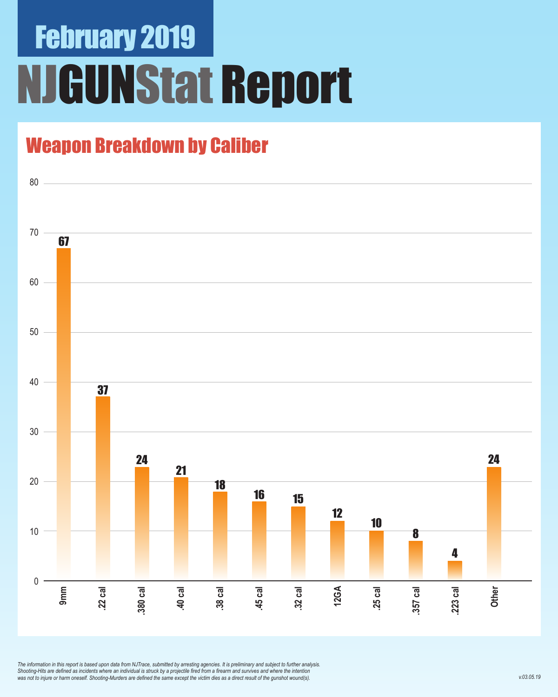# February 2019 NJGUNStat Report

## Weapon Breakdown by Caliber



*The information in this report is based upon data from NJTrace, submitted by arresting agencies. It is preliminary and subject to further analysis. Shooting-Hits are defined as incidents where an individual is struck by a projectile fired from a firearm and survives and where the intention was not to injure or harm oneself. Shooting-Murders are defined the same except the victim dies as a direct result of the gunshot wound(s).*